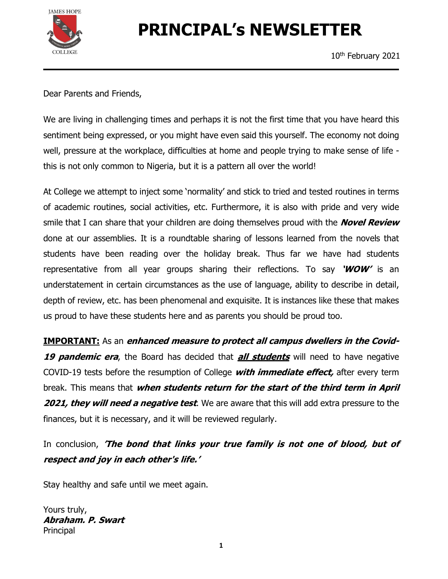

# PRINCIPAL's NEWSLETTER

10th February 2021

Dear Parents and Friends,

We are living in challenging times and perhaps it is not the first time that you have heard this sentiment being expressed, or you might have even said this yourself. The economy not doing well, pressure at the workplace, difficulties at home and people trying to make sense of life this is not only common to Nigeria, but it is a pattern all over the world!

At College we attempt to inject some 'normality' and stick to tried and tested routines in terms of academic routines, social activities, etc. Furthermore, it is also with pride and very wide smile that I can share that your children are doing themselves proud with the **Novel Review** done at our assemblies. It is a roundtable sharing of lessons learned from the novels that students have been reading over the holiday break. Thus far we have had students representative from all year groups sharing their reflections. To say 'WOW' is an understatement in certain circumstances as the use of language, ability to describe in detail, depth of review, etc. has been phenomenal and exquisite. It is instances like these that makes us proud to have these students here and as parents you should be proud too.

**IMPORTANT:** As an *enhanced measure to protect all campus dwellers in the Covid-*19 pandemic era, the Board has decided that all students will need to have negative COVID-19 tests before the resumption of College *with immediate effect*, after every term break. This means that *when students return for the start of the third term in April* **2021, they will need a negative test**. We are aware that this will add extra pressure to the finances, but it is necessary, and it will be reviewed regularly.

In conclusion, 'The bond that links your true family is not one of blood, but of respect and joy in each other's life.'

Stay healthy and safe until we meet again.

Yours truly, Abraham. P. Swart Principal